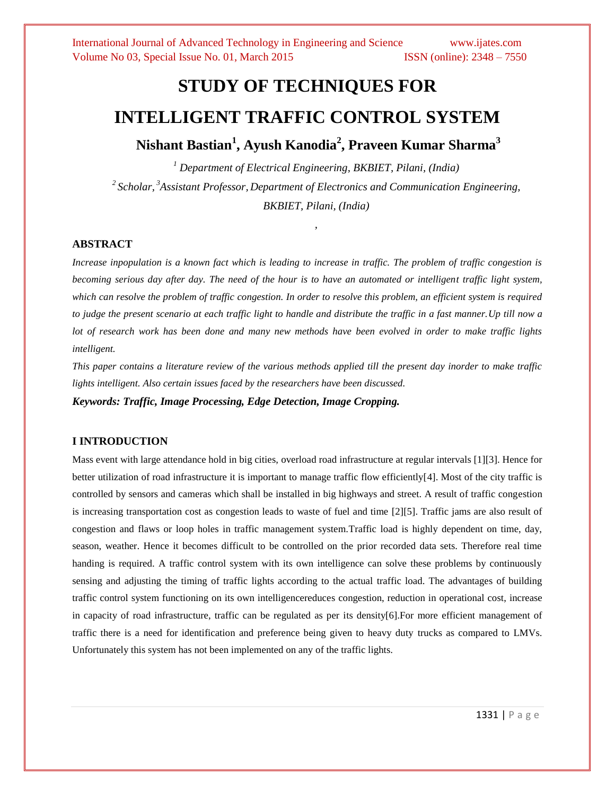# **STUDY OF TECHNIQUES FOR INTELLIGENT TRAFFIC CONTROL SYSTEM**

**Nishant Bastian<sup>1</sup> , Ayush Kanodia<sup>2</sup> , Praveen Kumar Sharma<sup>3</sup>**

*<sup>1</sup> Department of Electrical Engineering, BKBIET, Pilani, (India) 2 Scholar, <sup>3</sup>Assistant Professor, Department of Electronics and Communication Engineering, BKBIET, Pilani, (India)*

*,* 

#### **ABSTRACT**

*Increase inpopulation is a known fact which is leading to increase in traffic. The problem of traffic congestion is becoming serious day after day. The need of the hour is to have an automated or intelligent traffic light system, which can resolve the problem of traffic congestion. In order to resolve this problem, an efficient system is required to judge the present scenario at each traffic light to handle and distribute the traffic in a fast manner. Up till now a lot of research work has been done and many new methods have been evolved in order to make traffic lights intelligent.*

*This paper contains a literature review of the various methods applied till the present day inorder to make traffic lights intelligent. Also certain issues faced by the researchers have been discussed.*

*Keywords: Traffic, Image Processing, Edge Detection, Image Cropping.*

#### **I INTRODUCTION**

Mass event with large attendance hold in big cities, overload road infrastructure at regular intervals [1][3]. Hence for better utilization of road infrastructure it is important to manage traffic flow efficiently[4]. Most of the city traffic is controlled by sensors and cameras which shall be installed in big highways and street. A result of traffic congestion is increasing transportation cost as congestion leads to waste of fuel and time [2][5]. Traffic jams are also result of congestion and flaws or loop holes in traffic management system.Traffic load is highly dependent on time, day, season, weather. Hence it becomes difficult to be controlled on the prior recorded data sets. Therefore real time handing is required. A traffic control system with its own intelligence can solve these problems by continuously sensing and adjusting the timing of traffic lights according to the actual traffic load. The advantages of building traffic control system functioning on its own intelligencereduces congestion, reduction in operational cost, increase in capacity of road infrastructure, traffic can be regulated as per its density[6].For more efficient management of traffic there is a need for identification and preference being given to heavy duty trucks as compared to LMVs. Unfortunately this system has not been implemented on any of the traffic lights.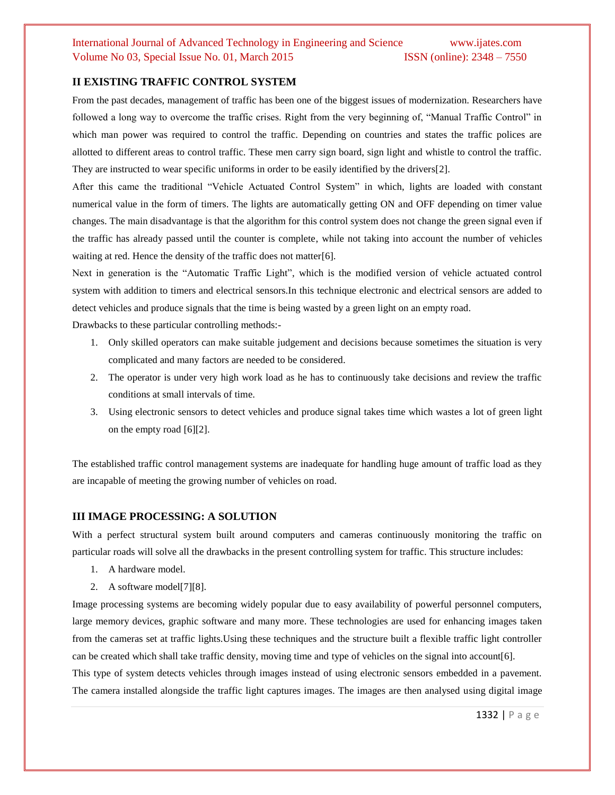#### **II EXISTING TRAFFIC CONTROL SYSTEM**

From the past decades, management of traffic has been one of the biggest issues of modernization. Researchers have followed a long way to overcome the traffic crises. Right from the very beginning of, "Manual Traffic Control" in which man power was required to control the traffic. Depending on countries and states the traffic polices are allotted to different areas to control traffic. These men carry sign board, sign light and whistle to control the traffic. They are instructed to wear specific uniforms in order to be easily identified by the drivers[2].

After this came the traditional "Vehicle Actuated Control System" in which, lights are loaded with constant numerical value in the form of timers. The lights are automatically getting ON and OFF depending on timer value changes. The main disadvantage is that the algorithm for this control system does not change the green signal even if the traffic has already passed until the counter is complete, while not taking into account the number of vehicles waiting at red. Hence the density of the traffic does not matter[6].

Next in generation is the "Automatic Traffic Light", which is the modified version of vehicle actuated control system with addition to timers and electrical sensors.In this technique electronic and electrical sensors are added to detect vehicles and produce signals that the time is being wasted by a green light on an empty road. Drawbacks to these particular controlling methods:-

1. Only skilled operators can make suitable judgement and decisions because sometimes the situation is very

complicated and many factors are needed to be considered.

- 2. The operator is under very high work load as he has to continuously take decisions and review the traffic conditions at small intervals of time.
- 3. Using electronic sensors to detect vehicles and produce signal takes time which wastes a lot of green light on the empty road [6][2].

The established traffic control management systems are inadequate for handling huge amount of traffic load as they are incapable of meeting the growing number of vehicles on road.

#### **III IMAGE PROCESSING: A SOLUTION**

With a perfect structural system built around computers and cameras continuously monitoring the traffic on particular roads will solve all the drawbacks in the present controlling system for traffic. This structure includes:

- 1. A hardware model.
- 2. A software model[7][8].

Image processing systems are becoming widely popular due to easy availability of powerful personnel computers, large memory devices, graphic software and many more. These technologies are used for enhancing images taken from the cameras set at traffic lights.Using these techniques and the structure built a flexible traffic light controller can be created which shall take traffic density, moving time and type of vehicles on the signal into account[6].

This type of system detects vehicles through images instead of using electronic sensors embedded in a pavement. The camera installed alongside the traffic light captures images. The images are then analysed using digital image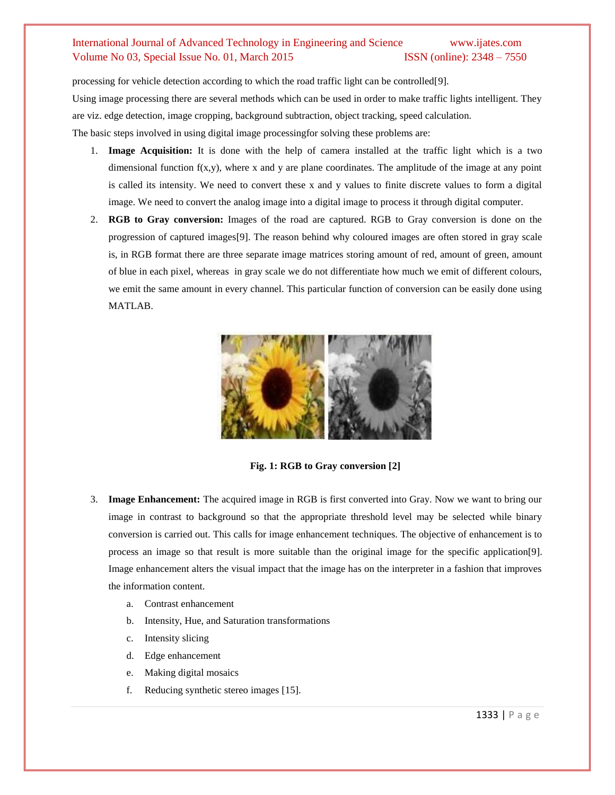processing for vehicle detection according to which the road traffic light can be controlled[9]. Using image processing there are several methods which can be used in order to make traffic lights intelligent. They are viz. edge detection, image cropping, background subtraction, object tracking, speed calculation. The basic steps involved in using digital image processingfor solving these problems are:

- 1. **Image Acquisition:** It is done with the help of camera installed at the traffic light which is a two dimensional function  $f(x,y)$ , where x and y are plane coordinates. The amplitude of the image at any point is called its intensity. We need to convert these x and y values to finite discrete values to form a digital image. We need to convert the analog image into a digital image to process it through digital computer.
- 2. **RGB to Gray conversion:** Images of the road are captured. RGB to Gray conversion is done on the progression of captured images[9]. The reason behind why coloured images are often stored in gray scale is, in RGB format there are three separate image matrices storing amount of red, amount of green, amount of blue in each pixel, whereas in gray scale we do not differentiate how much we emit of different colours, we emit the same amount in every channel. This particular function of conversion can be easily done using MATLAB.



**Fig. 1: RGB to Gray conversion [2]**

- 3. **Image Enhancement:** The acquired image in RGB is first converted into Gray. Now we want to bring our image in contrast to background so that the appropriate threshold level may be selected while binary conversion is carried out. This calls for image enhancement techniques. The objective of enhancement is to process an image so that result is more suitable than the original image for the specific application[9]. Image enhancement alters the visual impact that the image has on the interpreter in a fashion that improves the information content.
	- a. Contrast enhancement
	- b. Intensity, Hue, and Saturation transformations
	- c. Intensity slicing
	- d. Edge enhancement
	- e. Making digital mosaics
	- f. Reducing synthetic stereo images [15].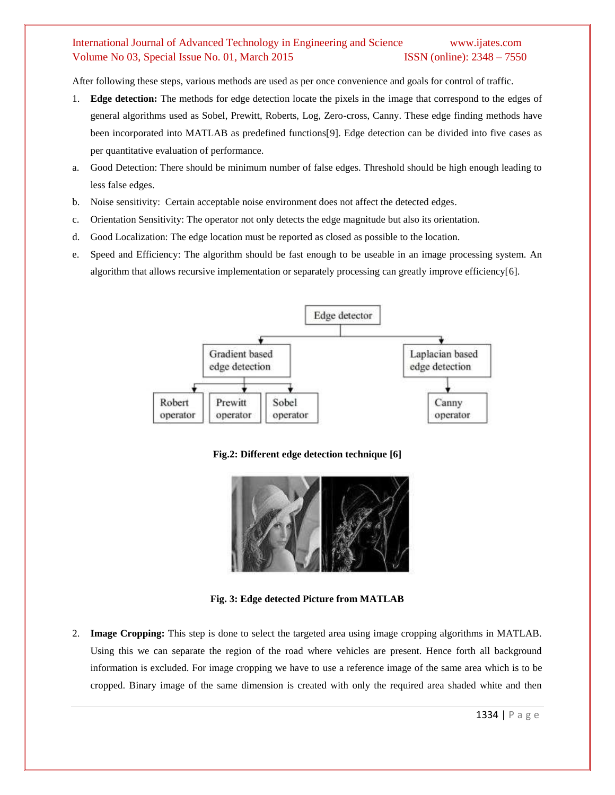After following these steps, various methods are used as per once convenience and goals for control of traffic.

- 1. **Edge detection:** The methods for edge detection locate the pixels in the image that correspond to the edges of general algorithms used as Sobel, Prewitt, Roberts, Log, Zero-cross, Canny. These edge finding methods have been incorporated into MATLAB as predefined functions[9]. Edge detection can be divided into five cases as per quantitative evaluation of performance.
- a. Good Detection: There should be minimum number of false edges. Threshold should be high enough leading to less false edges.
- b. Noise sensitivity: Certain acceptable noise environment does not affect the detected edges.
- c. Orientation Sensitivity: The operator not only detects the edge magnitude but also its orientation.
- d. Good Localization: The edge location must be reported as closed as possible to the location.
- e. Speed and Efficiency: The algorithm should be fast enough to be useable in an image processing system. An algorithm that allows recursive implementation or separately processing can greatly improve efficiency[6].



**Fig.2: Different edge detection technique [6]**



**Fig. 3: Edge detected Picture from MATLAB**

2. **Image Cropping:** This step is done to select the targeted area using image cropping algorithms in MATLAB. Using this we can separate the region of the road where vehicles are present. Hence forth all background information is excluded. For image cropping we have to use a reference image of the same area which is to be cropped. Binary image of the same dimension is created with only the required area shaded white and then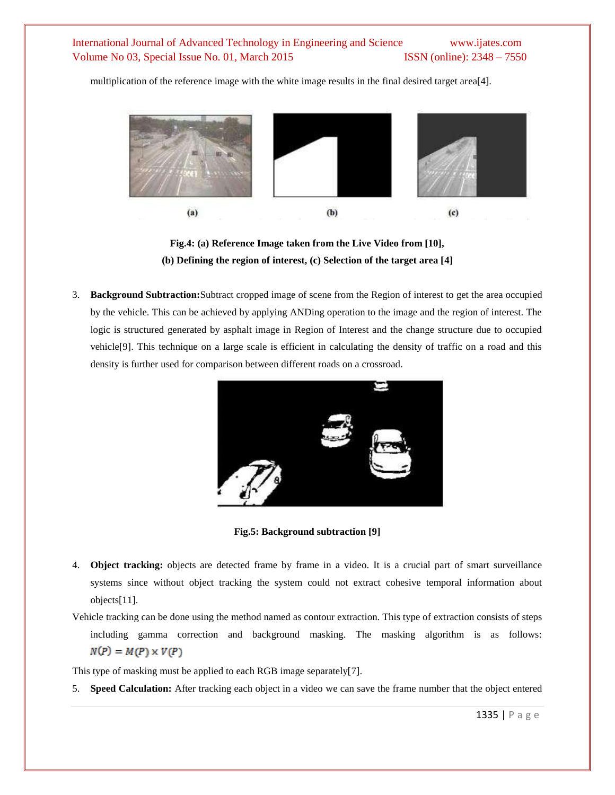multiplication of the reference image with the white image results in the final desired target area[4].





3. **Background Subtraction:**Subtract cropped image of scene from the Region of interest to get the area occupied by the vehicle. This can be achieved by applying ANDing operation to the image and the region of interest. The logic is structured generated by asphalt image in Region of Interest and the change structure due to occupied vehicle[9]. This technique on a large scale is efficient in calculating the density of traffic on a road and this density is further used for comparison between different roads on a crossroad.



**Fig.5: Background subtraction [9]**

- 4. **Object tracking:** objects are detected frame by frame in a video. It is a crucial part of smart surveillance systems since without object tracking the system could not extract cohesive temporal information about objects[11].
- Vehicle tracking can be done using the method named as contour extraction. This type of extraction consists of steps including gamma correction and background masking. The masking algorithm is as follows:  $N(P) = M(P) \times V(P)$

This type of masking must be applied to each RGB image separately[7].

5. **Speed Calculation:** After tracking each object in a video we can save the frame number that the object entered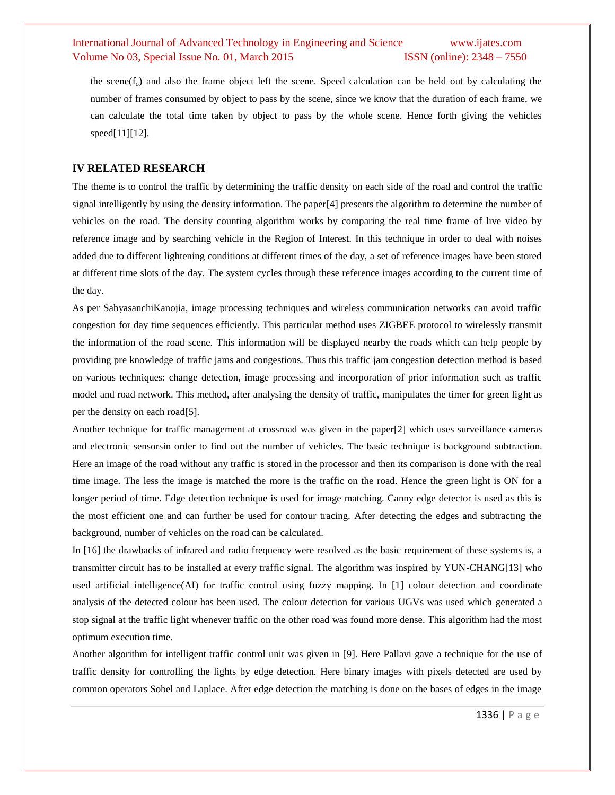the scene( $f_0$ ) and also the frame object left the scene. Speed calculation can be held out by calculating the number of frames consumed by object to pass by the scene, since we know that the duration of each frame, we can calculate the total time taken by object to pass by the whole scene. Hence forth giving the vehicles speed[11][12].

#### **IV RELATED RESEARCH**

The theme is to control the traffic by determining the traffic density on each side of the road and control the traffic signal intelligently by using the density information. The paper[4] presents the algorithm to determine the number of vehicles on the road. The density counting algorithm works by comparing the real time frame of live video by reference image and by searching vehicle in the Region of Interest. In this technique in order to deal with noises added due to different lightening conditions at different times of the day, a set of reference images have been stored at different time slots of the day. The system cycles through these reference images according to the current time of the day.

As per SabyasanchiKanojia, image processing techniques and wireless communication networks can avoid traffic congestion for day time sequences efficiently. This particular method uses ZIGBEE protocol to wirelessly transmit the information of the road scene. This information will be displayed nearby the roads which can help people by providing pre knowledge of traffic jams and congestions. Thus this traffic jam congestion detection method is based on various techniques: change detection, image processing and incorporation of prior information such as traffic model and road network. This method, after analysing the density of traffic, manipulates the timer for green light as per the density on each road[5].

Another technique for traffic management at crossroad was given in the paper[2] which uses surveillance cameras and electronic sensorsin order to find out the number of vehicles. The basic technique is background subtraction. Here an image of the road without any traffic is stored in the processor and then its comparison is done with the real time image. The less the image is matched the more is the traffic on the road. Hence the green light is ON for a longer period of time. Edge detection technique is used for image matching. Canny edge detector is used as this is the most efficient one and can further be used for contour tracing. After detecting the edges and subtracting the background, number of vehicles on the road can be calculated.

In [16] the drawbacks of infrared and radio frequency were resolved as the basic requirement of these systems is, a transmitter circuit has to be installed at every traffic signal. The algorithm was inspired by YUN-CHANG[13] who used artificial intelligence(AI) for traffic control using fuzzy mapping. In [1] colour detection and coordinate analysis of the detected colour has been used. The colour detection for various UGVs was used which generated a stop signal at the traffic light whenever traffic on the other road was found more dense. This algorithm had the most optimum execution time.

Another algorithm for intelligent traffic control unit was given in [9]. Here Pallavi gave a technique for the use of traffic density for controlling the lights by edge detection. Here binary images with pixels detected are used by common operators Sobel and Laplace. After edge detection the matching is done on the bases of edges in the image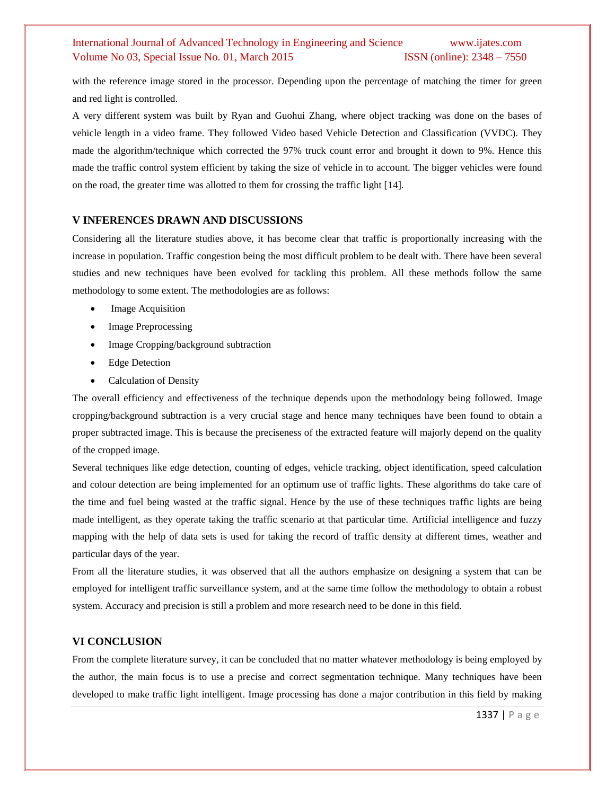with the reference image stored in the processor. Depending upon the percentage of matching the timer for green and red light is controlled.

A very different system was built by Ryan and Guohui Zhang, where object tracking was done on the bases of vehicle length in a video frame. They followed Video based Vehicle Detection and Classification (VVDC). They made the algorithm/technique which corrected the 97% truck count error and brought it down to 9%. Hence this made the traffic control system efficient by taking the size of vehicle in to account. The bigger vehicles were found on the road, the greater time was allotted to them for crossing the traffic light [14].

#### **V INFERENCES DRAWN AND DISCUSSIONS**

Considering all the literature studies above, it has become clear that traffic is proportionally increasing with the increase in population. Traffic congestion being the most difficult problem to be dealt with. There have been several studies and new techniques have been evolved for tackling this problem. All these methods follow the same methodology to some extent. The methodologies are as follows:

- Image Acquisition
- Image Preprocessing
- Image Cropping/background subtraction
- Edge Detection
- Calculation of Density

The overall efficiency and effectiveness of the technique depends upon the methodology being followed. Image cropping/background subtraction is a very crucial stage and hence many techniques have been found to obtain a proper subtracted image. This is because the preciseness of the extracted feature will majorly depend on the quality of the cropped image.

Several techniques like edge detection, counting of edges, vehicle tracking, object identification, speed calculation and colour detection are being implemented for an optimum use of traffic lights. These algorithms do take care of the time and fuel being wasted at the traffic signal. Hence by the use of these techniques traffic lights are being made intelligent, as they operate taking the traffic scenario at that particular time. Artificial intelligence and fuzzy mapping with the help of data sets is used for taking the record of traffic density at different times, weather and particular days of the year.

From all the literature studies, it was observed that all the authors emphasize on designing a system that can be employed for intelligent traffic surveillance system, and at the same time follow the methodology to obtain a robust system. Accuracy and precision is still a problem and more research need to be done in this field.

#### **VI CONCLUSION**

From the complete literature survey, it can be concluded that no matter whatever methodology is being employed by the author, the main focus is to use a precise and correct segmentation technique. Many techniques have been developed to make traffic light intelligent. Image processing has done a major contribution in this field by making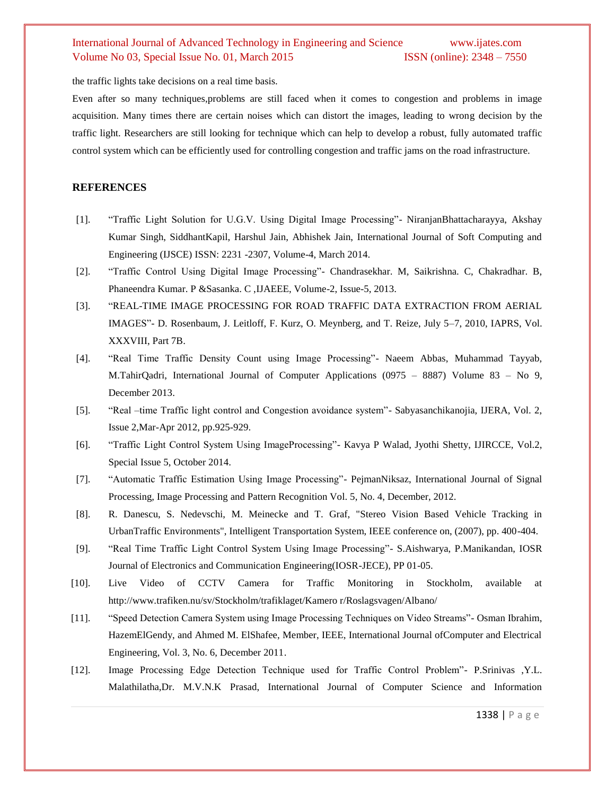the traffic lights take decisions on a real time basis.

Even after so many techniques,problems are still faced when it comes to congestion and problems in image acquisition. Many times there are certain noises which can distort the images, leading to wrong decision by the traffic light. Researchers are still looking for technique which can help to develop a robust, fully automated traffic control system which can be efficiently used for controlling congestion and traffic jams on the road infrastructure.

#### **REFERENCES**

- [1]. "Traffic Light Solution for U.G.V. Using Digital Image Processing"- NiranjanBhattacharayya, Akshay Kumar Singh, SiddhantKapil, Harshul Jain, Abhishek Jain, International Journal of Soft Computing and Engineering (IJSCE) ISSN: 2231 -2307, Volume-4, March 2014.
- [2]. "Traffic Control Using Digital Image Processing"- Chandrasekhar. M, Saikrishna. C, Chakradhar. B, Phaneendra Kumar. P &Sasanka. C ,IJAEEE, Volume-2, Issue-5, 2013.
- [3]. "REAL-TIME IMAGE PROCESSING FOR ROAD TRAFFIC DATA EXTRACTION FROM AERIAL IMAGES"- D. Rosenbaum, J. Leitloff, F. Kurz, O. Meynberg, and T. Reize, July 5–7, 2010, IAPRS, Vol. XXXVIII, Part 7B.
- [4]. "Real Time Traffic Density Count using Image Processing"- Naeem Abbas, Muhammad Tayyab, M.TahirQadri, International Journal of Computer Applications (0975 – 8887) Volume 83 – No 9, December 2013.
- [5]. "Real –time Traffic light control and Congestion avoidance system"- Sabyasanchikanojia, IJERA, Vol. 2, Issue 2,Mar-Apr 2012, pp.925-929.
- [6]. "Traffic Light Control System Using ImageProcessing"- Kavya P Walad, Jyothi Shetty, IJIRCCE, Vol.2, Special Issue 5, October 2014.
- [7]. "Automatic Traffic Estimation Using Image Processing"- PejmanNiksaz, International Journal of Signal Processing, Image Processing and Pattern Recognition Vol. 5, No. 4, December, 2012.
- [8]. R. Danescu, S. Nedevschi, M. Meinecke and T. Graf, "Stereo Vision Based Vehicle Tracking in UrbanTraffic Environments", Intelligent Transportation System, IEEE conference on, (2007), pp. 400-404.
- [9]. "Real Time Traffic Light Control System Using Image Processing"- S.Aishwarya, P.Manikandan, IOSR Journal of Electronics and Communication Engineering(IOSR-JECE), PP 01-05.
- [10]. Live Video of CCTV Camera for Traffic Monitoring in Stockholm, available at http://www.trafiken.nu/sv/Stockholm/trafiklaget/Kamero r/Roslagsvagen/Albano/
- [11]. "Speed Detection Camera System using Image Processing Techniques on Video Streams"- Osman Ibrahim, HazemElGendy, and Ahmed M. ElShafee, Member, IEEE, International Journal ofComputer and Electrical Engineering, Vol. 3, No. 6, December 2011.
- [12]. Image Processing Edge Detection Technique used for Traffic Control Problem"- P.Srinivas ,Y.L. Malathilatha,Dr. M.V.N.K Prasad, International Journal of Computer Science and Information